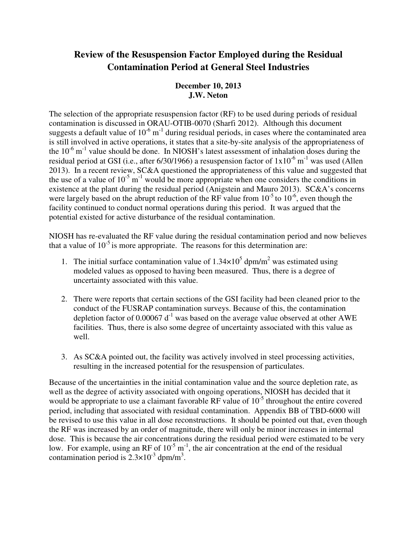## **Review of the Resuspension Factor Employed during the Residual Contamination Period at General Steel Industries**

## **December 10, 2013 J.W. Neton**

 The selection of the appropriate resuspension factor (RF) to be used during periods of residual contamination is discussed in ORAU-OTIB-0070 (Sharfi 2012). Although this document suggests a default value of  $10^{-6}$  m<sup>-1</sup> during residual periods, in cases where the contaminated area is still involved in active operations, it states that a site-by-site analysis of the appropriateness of the  $10^{-6}$  m<sup>-1</sup> value should be done. In NIOSH's latest assessment of inhalation doses during the residual period at GSI (i.e., after 6/30/1966) a resuspension factor of  $1x10^{-6}$  m<sup>-1</sup> was used (Allen 2013). In a recent review, SC&A questioned the appropriateness of this value and suggested that the use of a value of  $10^{-5}$  m<sup>-1</sup> would be more appropriate when one considers the conditions in existence at the plant during the residual period (Anigstein and Mauro 2013). SC&A's concerns were largely based on the abrupt reduction of the RF value from  $10^{-5}$  to  $10^{-6}$ , even though the facility continued to conduct normal operations during this period. It was argued that the potential existed for active disturbance of the residual contamination.

 NIOSH has re-evaluated the RF value during the residual contamination period and now believes that a value of  $10^{-5}$  is more appropriate. The reasons for this determination are:

- 1. The initial surface contamination value of  $1.34 \times 10^5$  dpm/m<sup>2</sup> was estimated using modeled values as opposed to having been measured. Thus, there is a degree of uncertainty associated with this value.
- 2. There were reports that certain sections of the GSI facility had been cleaned prior to the conduct of the FUSRAP contamination surveys. Because of this, the contamination depletion factor of 0.00067  $d^{-1}$  was based on the average value observed at other AWE facilities. Thus, there is also some degree of uncertainty associated with this value as well.
- 3. As SC&A pointed out, the facility was actively involved in steel processing activities, resulting in the increased potential for the resuspension of particulates.

 Because of the uncertainties in the initial contamination value and the source depletion rate, as well as the degree of activity associated with ongoing operations, NIOSH has decided that it would be appropriate to use a claimant favorable RF value of  $10^{-5}$  throughout the entire covered period, including that associated with residual contamination. Appendix BB of TBD-6000 will be revised to use this value in all dose reconstructions. It should be pointed out that, even though the RF was increased by an order of magnitude, there will only be minor increases in internal dose. This is because the air concentrations during the residual period were estimated to be very low. For example, using an RF of  $10^{-5}$  m<sup>-1</sup>, the air concentration at the end of the residual contamination period is  $2.3 \times 10^{-3}$  dpm/m<sup>3</sup>.